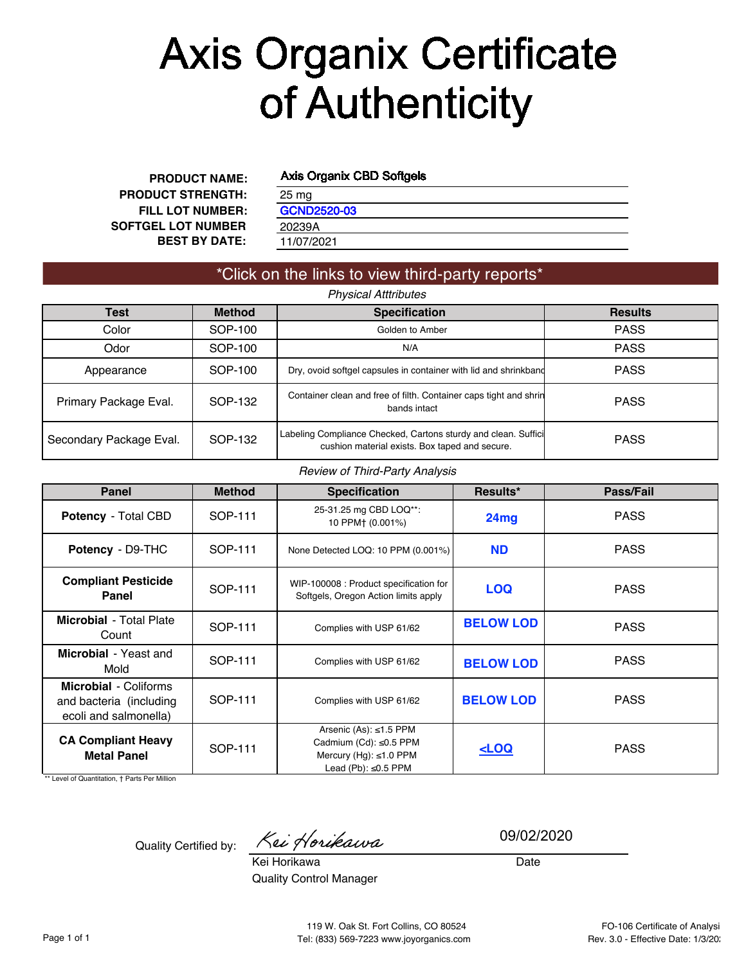# **Axis Organix Certificate** of Authenticity

**FILL LOT NUMBER: BEST BY DATE: PRODUCT NAME: PRODUCT STRENGTH: SOFTGEL LOT NUMBER**

#### Axis Organix CBD Softgels

| 25 mg              |  |  |
|--------------------|--|--|
| <b>GCND2520-03</b> |  |  |
| 20239A             |  |  |
| 11/07/2021         |  |  |
|                    |  |  |

#### \*Click on the links to view third-party reports\* *Physical Atttributes*

| Test                    | <b>Method</b> | <b>Specification</b>                                                                                             | <b>Results</b> |
|-------------------------|---------------|------------------------------------------------------------------------------------------------------------------|----------------|
| Color                   | SOP-100       | Golden to Amber                                                                                                  | <b>PASS</b>    |
| Odor                    | SOP-100       | N/A                                                                                                              | <b>PASS</b>    |
| Appearance              | SOP-100       | Dry, ovoid softgel capsules in container with lid and shrinkband                                                 | <b>PASS</b>    |
| Primary Package Eval.   | SOP-132       | Container clean and free of filth. Container caps tight and shrin<br>bands intact                                | <b>PASS</b>    |
| Secondary Package Eval. | SOP-132       | Labeling Compliance Checked, Cartons sturdy and clean. Suffici<br>cushion material exists. Box taped and secure. | <b>PASS</b>    |

#### *Review of Third-Party Analysis*

| <b>Panel</b>                                                                     | <b>Method</b> | <b>Specification</b>                                                                                          | Results*                                        | Pass/Fail   |
|----------------------------------------------------------------------------------|---------------|---------------------------------------------------------------------------------------------------------------|-------------------------------------------------|-------------|
| <b>Potency - Total CBD</b>                                                       | SOP-111       | 25-31.25 mg CBD LOQ**:<br>10 PPM+ (0.001%)                                                                    | 24mg                                            | <b>PASS</b> |
| Potency - D9-THC                                                                 | SOP-111       |                                                                                                               | <b>ND</b><br>None Detected LOQ: 10 PPM (0.001%) |             |
| <b>Compliant Pesticide</b><br>Panel                                              | SOP-111       | WIP-100008: Product specification for<br>Softgels, Oregon Action limits apply                                 | <b>LOQ</b>                                      | <b>PASS</b> |
| <b>Microbial</b> - Total Plate<br>Count                                          | SOP-111       | Complies with USP 61/62                                                                                       | <b>BELOW LOD</b>                                | <b>PASS</b> |
| Microbial - Yeast and<br>Mold                                                    | SOP-111       | Complies with USP 61/62                                                                                       | <b>BELOW LOD</b>                                | <b>PASS</b> |
| <b>Microbial - Coliforms</b><br>and bacteria (including<br>ecoli and salmonella) | SOP-111       | Complies with USP 61/62                                                                                       | <b>BELOW LOD</b>                                | <b>PASS</b> |
| <b>CA Compliant Heavy</b><br><b>Metal Panel</b>                                  | SOP-111       | Arsenic (As): ≤1.5 PPM<br>Cadmium (Cd): ≤0.5 PPM<br>Mercury (Hg): $\leq 1.0$ PPM<br>Lead (Pb): $\leq 0.5$ PPM | LOO                                             | <b>PASS</b> |

\*\* Level of Quantitation, † Parts Per Million

Quality Certified by: Kei Horikawa

09/02/2020

Kei Horikawa Quality Control Manager

Date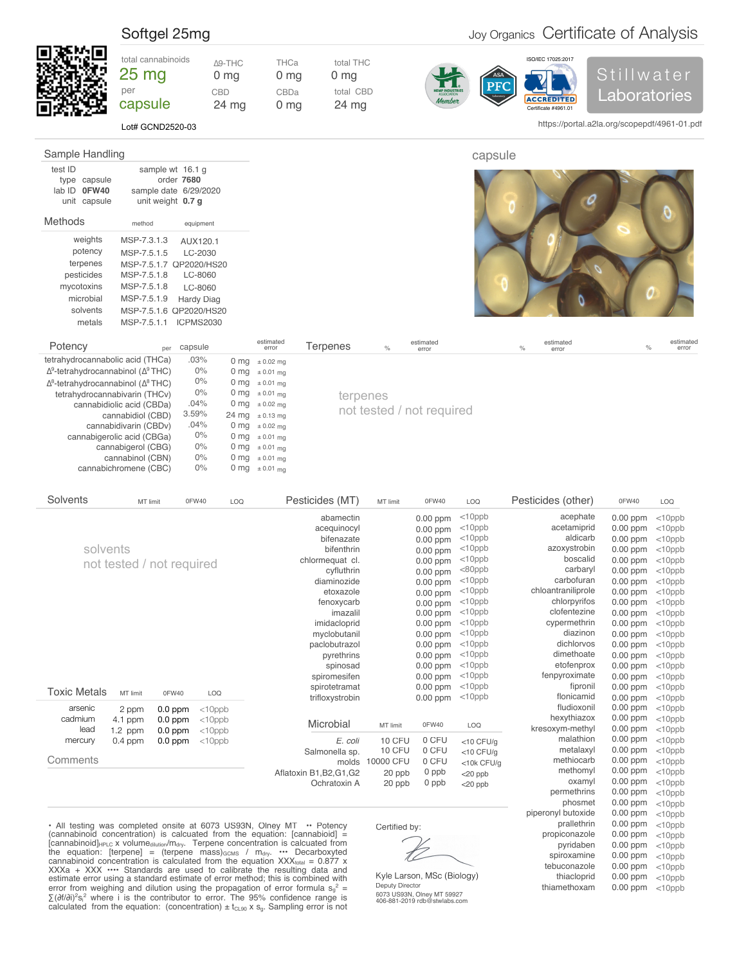## <span id="page-1-0"></span>Softgel 25mg **Carry Cell Control** Certificate of Analysis

https://portal.a2la.org/scopepdf/4961-01.pdf



Lot# GCND2520-03

| Sample Handling                                         |                                                                |                   |                    |          |               |                    | capsule                                                  |
|---------------------------------------------------------|----------------------------------------------------------------|-------------------|--------------------|----------|---------------|--------------------|----------------------------------------------------------|
| test ID<br>type capsule<br>lab ID 0FW40<br>unit capsule | sample wt 16.1 g<br>sample date 6/29/2020<br>unit weight 0.7 g | order 7680        |                    |          |               |                    |                                                          |
| Methods                                                 | method                                                         | equipment         |                    |          |               |                    |                                                          |
| weights                                                 | MSP-7.3.1.3                                                    | AUX120.1          |                    |          |               |                    |                                                          |
| potency                                                 | MSP-7.5.1.5                                                    | LC-2030           |                    |          |               |                    |                                                          |
| terpenes                                                | MSP-7.5.1.7 QP2020/HS20                                        |                   |                    |          |               |                    |                                                          |
| pesticides                                              | MSP-7.5.1.8                                                    | LC-8060           |                    |          |               |                    |                                                          |
| mycotoxins                                              | MSP-7.5.1.8                                                    | LC-8060           |                    |          |               |                    |                                                          |
| microbial                                               | MSP-7.5.1.9                                                    | <b>Hardy Diag</b> |                    |          |               |                    |                                                          |
| solvents                                                | MSP-7.5.1.6 QP2020/HS20                                        |                   |                    |          |               |                    |                                                          |
| metals                                                  | MSP-7.5.1.1                                                    | <b>ICPMS2030</b>  |                    |          |               |                    |                                                          |
| Potency                                                 | per                                                            | capsule           | estimated<br>error | Terpenes | $\frac{0}{0}$ | estimated<br>error | estimated<br>estimated<br>$\%$<br>$\%$<br>error<br>error |

| terpenes |                           |  |
|----------|---------------------------|--|
|          | not tested / not required |  |

| solvents                                           | MSP-7.5.1.6 QP2020/HS20    |                  |                 |                    |
|----------------------------------------------------|----------------------------|------------------|-----------------|--------------------|
| metals                                             | MSP-7.5.1.1                | <b>ICPMS2030</b> |                 |                    |
|                                                    |                            |                  |                 |                    |
| Potency                                            | per                        | capsule          |                 | estimated<br>error |
| tetrahydrocannabolic acid (THCa)                   |                            | .03%             | 0 <sub>mg</sub> | $\pm 0.02$ mg      |
| $\Delta^9$ -tetrahydrocannabinol ( $\Delta^9$ THC) |                            | 0%               | 0 <sub>mg</sub> | $\pm 0.01$ ma      |
| $\Delta^8$ -tetrahydrocannabinol ( $\Delta^8$ THC) |                            | 0%               | 0 <sub>mg</sub> | $\pm 0.01$ mg      |
| tetrahydrocannabivarin (THCv)                      |                            | 0%               | 0 <sub>mg</sub> | $\pm 0.01$ mg      |
|                                                    | cannabidiolic acid (CBDa)  | .04%             | 0 <sub>mg</sub> | $\pm 0.02$ ma      |
|                                                    | cannabidiol (CBD)          | 3.59%            | 24 mg           | $± 0.13$ mg        |
|                                                    | cannabidivarin (CBDv)      | .04%             | 0 <sub>mg</sub> | $± 0.02$ mq        |
|                                                    | cannabigerolic acid (CBGa) | 0%               | 0 <sub>mg</sub> | $\pm 0.01$ mg      |
|                                                    | cannabigerol (CBG)         | $0\%$            | 0 <sub>mg</sub> | $\pm 0.01$ mg      |
|                                                    | cannabinol (CBN)           | 0%               | 0 <sub>mg</sub> | $\pm 0.01$ mg      |
|                                                    | cannabichromene (CBC)      | 0%               | 0 ma            | $\pm 0.01$ mg      |

| Solvents                                                   | MT limit  |                           | 0FW40<br>LOQ | Pesticides (MT)                                                              | MT limit      | 0FW40      | LOQ          | Pesticides (other) | 0FW40      | LOQ       |
|------------------------------------------------------------|-----------|---------------------------|--------------|------------------------------------------------------------------------------|---------------|------------|--------------|--------------------|------------|-----------|
|                                                            |           |                           |              | abamectin                                                                    |               | $0.00$ ppm | $<$ 10ppb    | acephate           | $0.00$ ppm | $<$ 10ppb |
|                                                            |           |                           |              | acequinocyl                                                                  |               | $0.00$ ppm | $<$ 10ppb    | acetamiprid        | $0.00$ ppm | $<$ 10ppb |
|                                                            |           |                           |              | bifenazate                                                                   |               | $0.00$ ppm | $<$ 10ppb    | aldicarb           | $0.00$ ppm | $<$ 10ppb |
| solvents                                                   |           |                           |              | bifenthrin                                                                   |               | $0.00$ ppm | $<$ 10ppb    | azoxystrobin       | 0.00 ppm   | $<$ 10ppb |
|                                                            |           | not tested / not required |              | chlormequat cl.                                                              |               | $0.00$ ppm | $<$ 10ppb    | boscalid           | $0.00$ ppm | $<$ 10ppb |
|                                                            |           |                           |              | cyfluthrin                                                                   |               | $0.00$ ppm | $<$ 80ppb    | carbaryl           | $0.00$ ppm | $<$ 10ppb |
|                                                            |           |                           |              | diaminozide                                                                  |               | 0.00 ppm   | $<$ 10ppb    | carbofuran         | 0.00 ppm   | $<$ 10ppb |
|                                                            |           |                           |              | etoxazole                                                                    |               | $0.00$ ppm | $<$ 10ppb    | chloantraniliprole | $0.00$ ppm | $<$ 10ppb |
|                                                            |           |                           |              | fenoxycarb                                                                   |               | $0.00$ ppm | $<$ 10ppb    | chlorpyrifos       | $0.00$ ppm | $<$ 10ppb |
|                                                            |           |                           |              | imazalil                                                                     |               | $0.00$ ppm | $<$ 10ppb    | clofentezine       | $0.00$ ppm | $<$ 10ppb |
|                                                            |           |                           |              | imidacloprid                                                                 |               | 0.00 ppm   | $<$ 10ppb    | cypermethrin       | 0.00 ppm   | $<$ 10ppb |
|                                                            |           |                           |              | myclobutanil                                                                 |               | $0.00$ ppm | $<$ 10ppb    | diazinon           | $0.00$ ppm | $<$ 10ppb |
|                                                            |           |                           |              | paclobutrazol                                                                |               | $0.00$ ppm | $<$ 10ppb    | dichlorvos         | 0.00 ppm   | $<$ 10ppb |
|                                                            |           |                           |              | pyrethrins                                                                   |               | $0.00$ ppm | $<$ 10ppb    | dimethoate         | 0.00 ppm   | $<$ 10ppb |
|                                                            |           |                           |              | spinosad                                                                     |               | $0.00$ ppm | $<$ 10ppb    | etofenprox         | $0.00$ ppm | $<$ 10ppb |
|                                                            |           |                           |              | spiromesifen                                                                 |               | $0.00$ ppm | $<$ 10ppb    | fenpyroximate      | 0.00 ppm   | $<$ 10ppb |
| <b>Toxic Metals</b>                                        |           |                           |              | spirotetramat                                                                |               | $0.00$ ppm | $<$ 10ppb    | fipronil           | $0.00$ ppm | $<$ 10ppb |
|                                                            | MT limit  | 0FW40                     | LOQ          | trifloxystrobin                                                              |               | $0.00$ ppm | $<$ 10ppb    | flonicamid         | 0.00 ppm   | $<$ 10ppb |
| arsenic                                                    | 2 ppm     | $0.0$ ppm                 | $<$ 10 $ppb$ |                                                                              |               |            |              | fludioxonil        | $0.00$ ppm | $<$ 10ppb |
| cadmium                                                    | 4.1 ppm   | $0.0$ ppm                 | $<$ 10 $ppb$ |                                                                              |               |            |              | hexythiazox        | $0.00$ ppm | $<$ 10ppb |
| lead                                                       | $1.2$ ppm | $0.0$ ppm                 | $<$ 10 $ppb$ | Microbial                                                                    | MT limit      | 0FW40      | LOQ          | kresoxym-methyl    | 0.00 ppm   | $<$ 10ppb |
| mercury                                                    | $0.4$ ppm | $0.0$ ppm                 | $<$ 10 $ppb$ | E. coli                                                                      | 10 CFU        | 0 CFU      | $<$ 10 CFU/q | malathion          | $0.00$ ppm | $<$ 10ppb |
|                                                            |           |                           |              | Salmonella sp.                                                               | 10 CFU        | 0 CFU      | $<$ 10 CFU/g | metalaxyl          | $0.00$ ppm | $<$ 10ppb |
| Comments                                                   |           |                           |              | molds                                                                        | 10000 CFU     | 0 CFU      | <10k CFU/g   | methiocarb         | $0.00$ ppm | $<$ 10ppb |
|                                                            |           |                           |              | Aflatoxin B1, B2, G1, G2                                                     | 20 ppb        | 0 ppb      | $<$ 20 ppb   | methomyl           | $0.00$ ppm | $<$ 10ppb |
|                                                            |           |                           |              | Ochratoxin A                                                                 | 20 ppb        | 0 ppb      | $<$ 20 ppb   | oxamyl             | 0.00 ppm   | $<$ 10ppb |
|                                                            |           |                           |              |                                                                              |               |            |              | permethrins        | $0.00$ ppm | $<$ 10ppb |
|                                                            |           |                           |              |                                                                              |               |            |              | phosmet            | $0.00$ ppm | $<$ 10ppb |
|                                                            |           |                           |              |                                                                              |               |            |              | piperonyl butoxide | $0.00$ ppm | $<$ 10ppb |
| • All testing was completed onsite at 6073 US93N, Olney MT |           |                           |              | • Potency                                                                    | Certified by: |            |              | prallethrin        | $0.00$ ppm | $<$ 10ppb |
|                                                            |           |                           |              | (cannabinoid concentration) is calcuated from the equation: [cannabioid] $=$ |               |            |              | propiconazole      | $0.00$ ppm | $<$ 10ppb |

(cannabinoid concentration) is calcuated from the equation: [cannabioid]  $=$ [cannabinoid] $_{\text{HPLC}}$  x volume<sub>dilution</sub>/m<sub>dry</sub>. Terpene concentration is calcuated from the equation: [terpene] = (terpene mass) $_{GCMS}$  /  $m_{dyn}$   $\cdots$  Decarboxyted cannabinoid concentration is calculated from the equation  $XXX_{total} = 0.877$  x XXXa + XXX •••• Standards are used to calibrate the resulting data and estimate error using a standard estimate of error method; this is combined with error from weighing and dilution using the propagation of error formula  $s_g^2$  = ∑(∂f/∂i)<sup>2</sup>s<sub>i</sub><sup>2</sup> where i is the contributor to error. The 95% confidence range is calculated from the equation: (concentration)  $\pm t_{C\perp 90}$  x  $s_g$ . Sampling error is not

6073 US93N, Olney MT 59927 406-881-2019 rdb@stwlabs.com Kyle Larson, MSc (Biology) Deputy Director

pyridaben spiroxamine tebuconazole thiacloprid thiamethoxam  $0.00$  ppm  $<$ 10ppb  $0.00$  ppm  $<$ 10ppb

 $0.00$  ppm  $<$ 10ppb  $0.00$  ppm  $<$ 10ppb

0.00 ppm

<10ppb